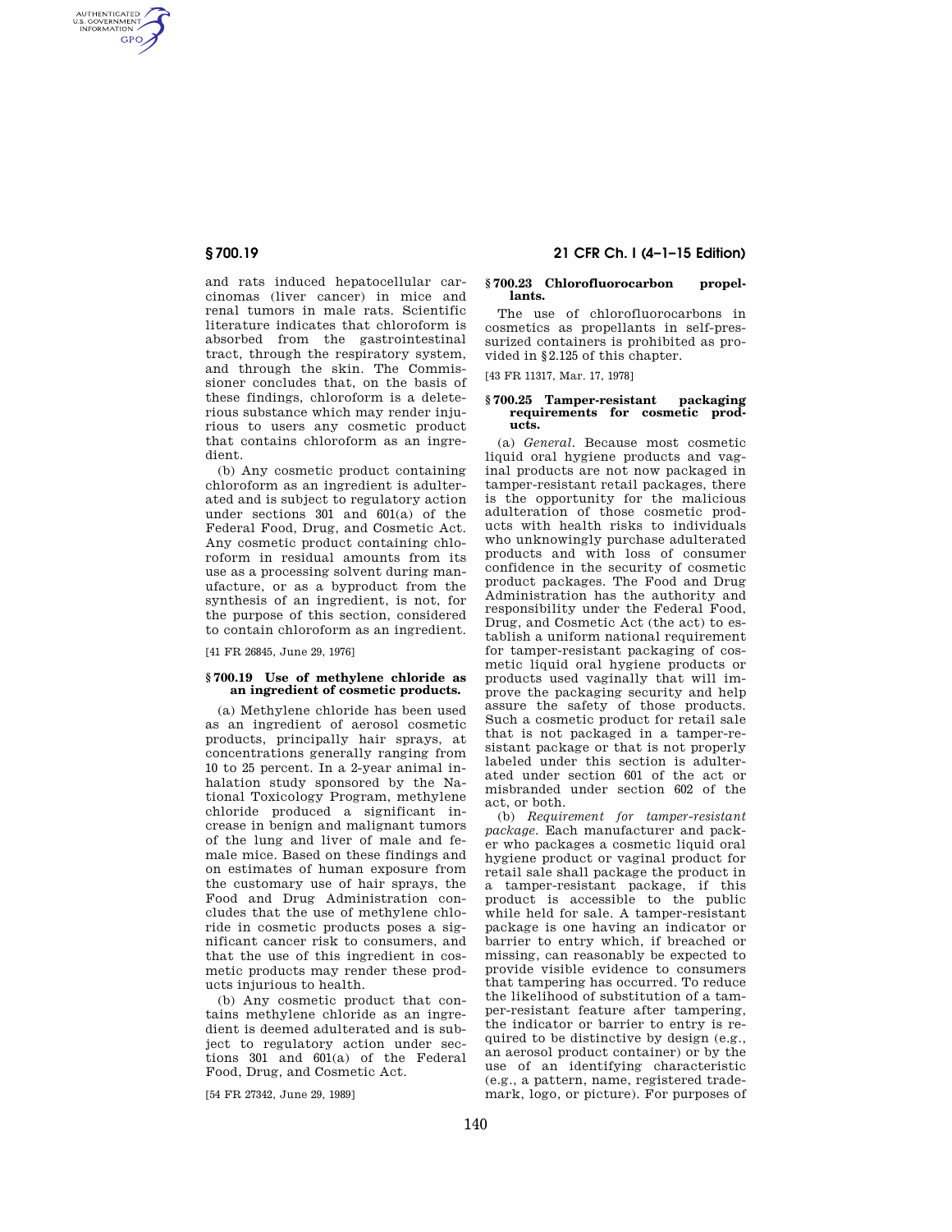AUTHENTICATED<br>U.S. GOVERNMENT<br>INFORMATION **GPO** 

> and rats induced hepatocellular carcinomas (liver cancer) in mice and renal tumors in male rats. Scientific literature indicates that chloroform is absorbed from the gastrointestinal tract, through the respiratory system, and through the skin. The Commissioner concludes that, on the basis of these findings, chloroform is a deleterious substance which may render injurious to users any cosmetic product that contains chloroform as an ingredient.

> (b) Any cosmetic product containing chloroform as an ingredient is adulterated and is subject to regulatory action under sections 301 and 601(a) of the Federal Food, Drug, and Cosmetic Act. Any cosmetic product containing chloroform in residual amounts from its use as a processing solvent during manufacture, or as a byproduct from the synthesis of an ingredient, is not, for the purpose of this section, considered to contain chloroform as an ingredient.

[41 FR 26845, June 29, 1976]

### **§ 700.19 Use of methylene chloride as an ingredient of cosmetic products.**

(a) Methylene chloride has been used as an ingredient of aerosol cosmetic products, principally hair sprays, at concentrations generally ranging from 10 to 25 percent. In a 2-year animal inhalation study sponsored by the National Toxicology Program, methylene chloride produced a significant increase in benign and malignant tumors of the lung and liver of male and female mice. Based on these findings and on estimates of human exposure from the customary use of hair sprays, the Food and Drug Administration concludes that the use of methylene chloride in cosmetic products poses a significant cancer risk to consumers, and that the use of this ingredient in cosmetic products may render these products injurious to health.

(b) Any cosmetic product that contains methylene chloride as an ingredient is deemed adulterated and is subject to regulatory action under sections 301 and 601(a) of the Federal Food, Drug, and Cosmetic Act.

[54 FR 27342, June 29, 1989]

## **§ 700.19 21 CFR Ch. I (4–1–15 Edition)**

### **§ 700.23 Chlorofluorocarbon propellants.**

The use of chlorofluorocarbons in cosmetics as propellants in self-pressurized containers is prohibited as provided in §2.125 of this chapter.

[43 FR 11317, Mar. 17, 1978]

#### **§ 700.25 Tamper-resistant packaging requirements for cosmetic products.**

(a) *General.* Because most cosmetic liquid oral hygiene products and vaginal products are not now packaged in tamper-resistant retail packages, there is the opportunity for the malicious adulteration of those cosmetic products with health risks to individuals who unknowingly purchase adulterated products and with loss of consumer confidence in the security of cosmetic product packages. The Food and Drug Administration has the authority and responsibility under the Federal Food, Drug, and Cosmetic Act (the act) to establish a uniform national requirement for tamper-resistant packaging of cosmetic liquid oral hygiene products or products used vaginally that will improve the packaging security and help assure the safety of those products. Such a cosmetic product for retail sale that is not packaged in a tamper-resistant package or that is not properly labeled under this section is adulterated under section 601 of the act or misbranded under section 602 of the act, or both.

(b) *Requirement for tamper-resistant package.* Each manufacturer and packer who packages a cosmetic liquid oral hygiene product or vaginal product for retail sale shall package the product in a tamper-resistant package, if this product is accessible to the public while held for sale. A tamper-resistant package is one having an indicator or barrier to entry which, if breached or missing, can reasonably be expected to provide visible evidence to consumers that tampering has occurred. To reduce the likelihood of substitution of a tamper-resistant feature after tampering, the indicator or barrier to entry is required to be distinctive by design (e.g., an aerosol product container) or by the use of an identifying characteristic (e.g., a pattern, name, registered trademark, logo, or picture). For purposes of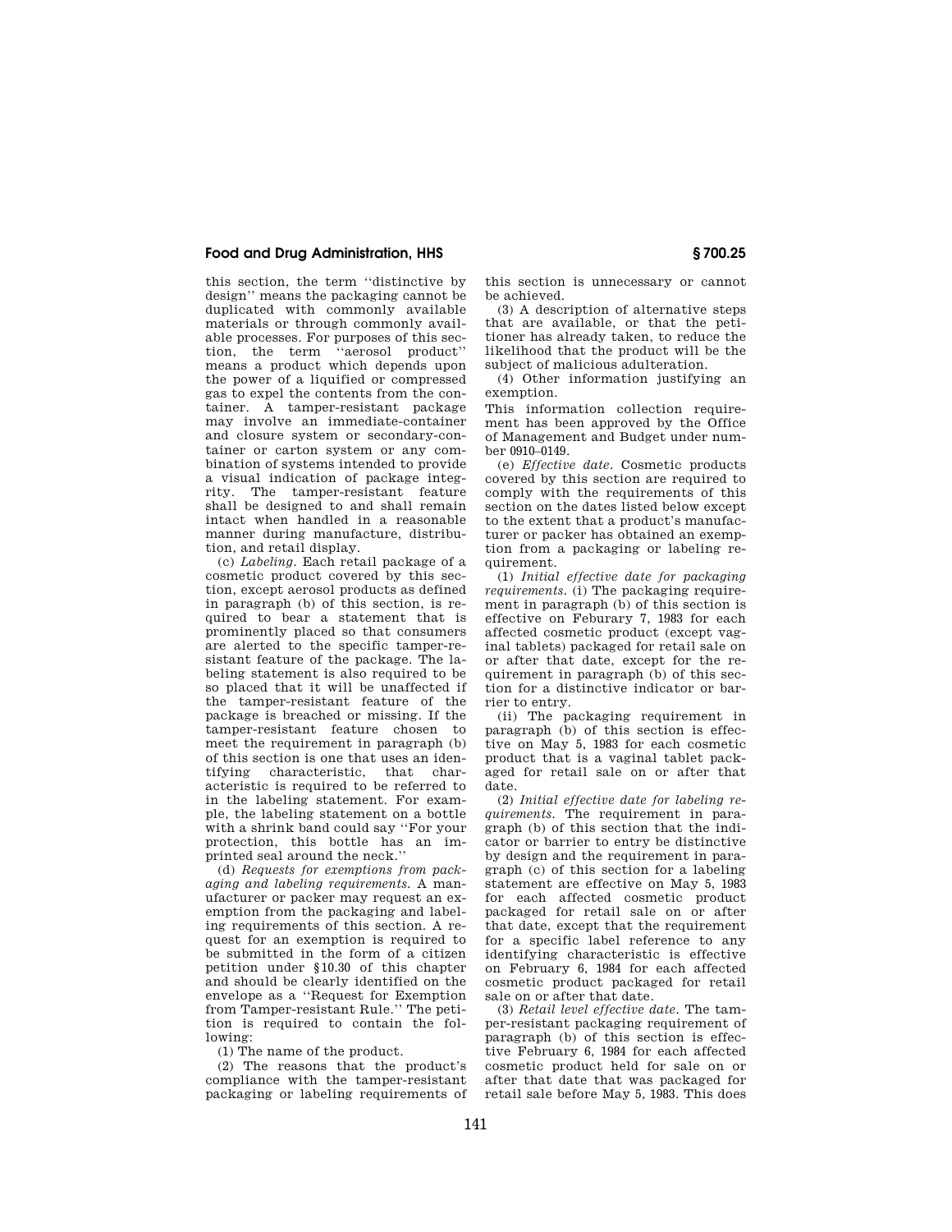## **Food and Drug Administration, HHS § 700.25**

this section, the term ''distinctive by design'' means the packaging cannot be duplicated with commonly available materials or through commonly available processes. For purposes of this section, the term ''aerosol product'' means a product which depends upon the power of a liquified or compressed gas to expel the contents from the container. A tamper-resistant package may involve an immediate-container and closure system or secondary-container or carton system or any combination of systems intended to provide a visual indication of package integrity. The tamper-resistant feature shall be designed to and shall remain intact when handled in a reasonable manner during manufacture, distribution, and retail display.

(c) *Labeling.* Each retail package of a cosmetic product covered by this section, except aerosol products as defined in paragraph (b) of this section, is required to bear a statement that is prominently placed so that consumers are alerted to the specific tamper-resistant feature of the package. The labeling statement is also required to be so placed that it will be unaffected if the tamper-resistant feature of the package is breached or missing. If the tamper-resistant feature chosen to meet the requirement in paragraph (b) of this section is one that uses an identifying characteristic, that characteristic is required to be referred to in the labeling statement. For example, the labeling statement on a bottle with a shrink band could say ''For your protection, this bottle has an imprinted seal around the neck.'

(d) *Requests for exemptions from packaging and labeling requirements.* A manufacturer or packer may request an exemption from the packaging and labeling requirements of this section. A request for an exemption is required to be submitted in the form of a citizen petition under §10.30 of this chapter and should be clearly identified on the envelope as a ''Request for Exemption from Tamper-resistant Rule.'' The petition is required to contain the following:

(1) The name of the product.

(2) The reasons that the product's compliance with the tamper-resistant packaging or labeling requirements of this section is unnecessary or cannot be achieved.

(3) A description of alternative steps that are available, or that the petitioner has already taken, to reduce the likelihood that the product will be the subject of malicious adulteration.

(4) Other information justifying an exemption.

This information collection requirement has been approved by the Office of Management and Budget under number 0910–0149.

(e) *Effective date.* Cosmetic products covered by this section are required to comply with the requirements of this section on the dates listed below except to the extent that a product's manufacturer or packer has obtained an exemption from a packaging or labeling requirement.

(1) *Initial effective date for packaging requirements.* (i) The packaging requirement in paragraph (b) of this section is effective on Feburary 7, 1983 for each affected cosmetic product (except vaginal tablets) packaged for retail sale on or after that date, except for the requirement in paragraph (b) of this section for a distinctive indicator or barrier to entry.

(ii) The packaging requirement in paragraph (b) of this section is effective on May 5, 1983 for each cosmetic product that is a vaginal tablet packaged for retail sale on or after that date.

(2) *Initial effective date for labeling requirements.* The requirement in paragraph (b) of this section that the indicator or barrier to entry be distinctive by design and the requirement in paragraph (c) of this section for a labeling statement are effective on May 5, 1983 for each affected cosmetic product packaged for retail sale on or after that date, except that the requirement for a specific label reference to any identifying characteristic is effective on February 6, 1984 for each affected cosmetic product packaged for retail sale on or after that date.

(3) *Retail level effective date.* The tamper-resistant packaging requirement of paragraph (b) of this section is effective February 6, 1984 for each affected cosmetic product held for sale on or after that date that was packaged for retail sale before May 5, 1983. This does